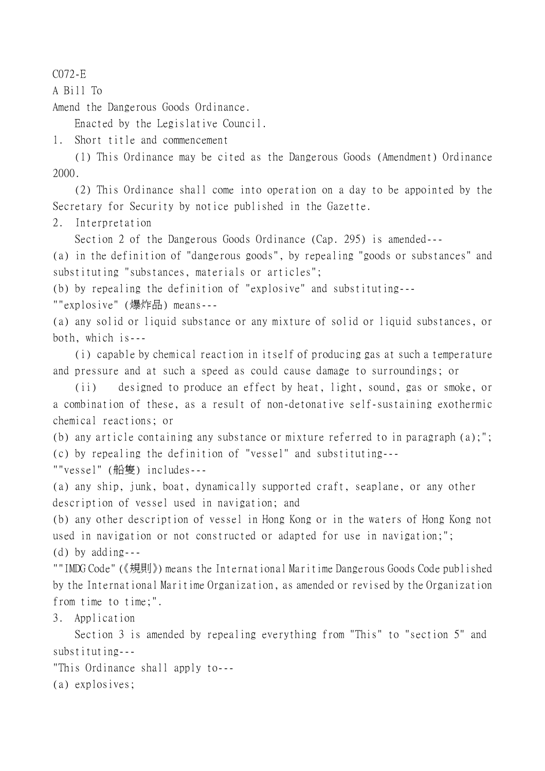C072-E

A Bill To

Amend the Dangerous Goods Ordinance.

Enacted by the Legislative Council.

1. Short title and commencement

(1) This Ordinance may be cited as the Dangerous Goods (Amendment) Ordinance 2000.

(2) This Ordinance shall come into operation on a day to be appointed by the Secretary for Security by notice published in the Gazette.

2. Interpretation

Section 2 of the Dangerous Goods Ordinance (Cap. 295) is amended---

(a) in the definition of "dangerous goods", by repealing "goods or substances" and substituting "substances, materials or articles";

(b) by repealing the definition of "explosive" and substituting---

""explosive" (爆炸品) means---

(a) any solid or liquid substance or any mixture of solid or liquid substances, or both, which is---

(i) capable by chemical reaction in itself of producing gas at such a temperature and pressure and at such a speed as could cause damage to surroundings; or

(ii) designed to produce an effect by heat, light, sound, gas or smoke, or a combination of these, as a result of non-detonative self-sustaining exothermic chemical reactions; or

(b) any article containing any substance or mixture referred to in paragraph (a);"; (c) by repealing the definition of "vessel" and substituting---

""vessel" (船隻) includes---

(a) any ship, junk, boat, dynamically supported craft, seaplane, or any other description of vessel used in navigation; and

(b) any other description of vessel in Hong Kong or in the waters of Hong Kong not used in navigation or not constructed or adapted for use in navigation;"; (d) by adding---

""IMDG Code" (《規則》) means the International Maritime Dangerous Goods Code published by the International Maritime Organization, as amended or revised by the Organization from time to time;".

3. Application

Section 3 is amended by repealing everything from "This" to "section 5" and substituting---

"This Ordinance shall apply to---

(a) explosives;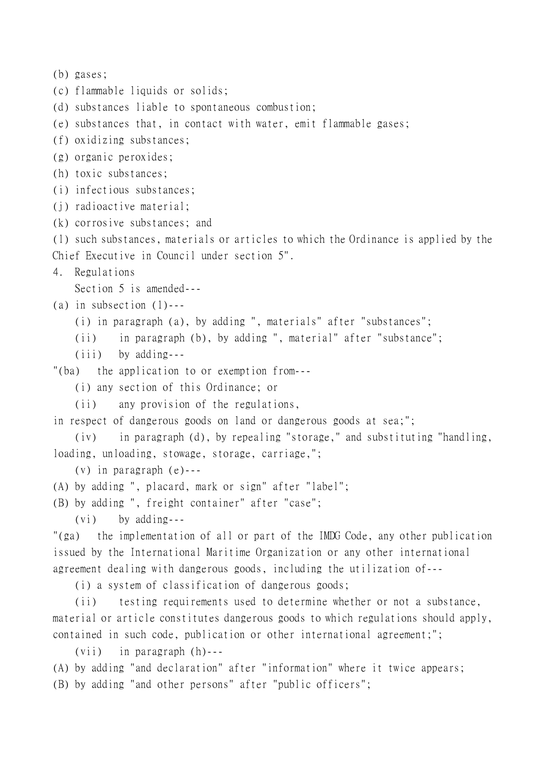```
(b) gases;
(c) flammable liquids or solids;
(d) substances liable to spontaneous combustion;
(e) substances that, in contact with water, emit flammable gases;
(f) oxidizing substances;
(g) organic peroxides;
(h) toxic substances;
(i) infectious substances;
(j) radioactive material;
(k) corrosive substances; and
(l) such substances, materials or articles to which the Ordinance is applied by the
Chief Executive in Council under section 5".
4. Regulations
    Section 5 is amended---
(a) in subsection (1)---
    (i) in paragraph (a), by adding ", materials" after "substances";
    (ii) in paragraph (b), by adding ", material" after "substance";
    (iii) by adding---
"(ba) the application to or exemption from---
    (i) any section of this Ordinance; or
    (ii) any provision of the regulations,
in respect of dangerous goods on land or dangerous goods at sea;";
    (iv) in paragraph (d), by repealing "storage," and substituting "handling,
loading, unloading, stowage, storage, carriage,";
    (v) in paragraph (e)---
(A) by adding ", placard, mark or sign" after "label";
(B) by adding ", freight container" after "case";
    (vi) by adding---
"(ga) the implementation of all or part of the IMDG Code, any other publication
issued by the International Maritime Organization or any other international
agreement dealing with dangerous goods, including the utilization of---
    (i) a system of classification of dangerous goods;
    (ii) testing requirements used to determine whether or not a substance,
material or article constitutes dangerous goods to which regulations should apply,
contained in such code, publication or other international agreement;";
    (vii) in paragraph (h)---
(A) by adding "and declaration" after "information" where it twice appears;
```
(B) by adding "and other persons" after "public officers";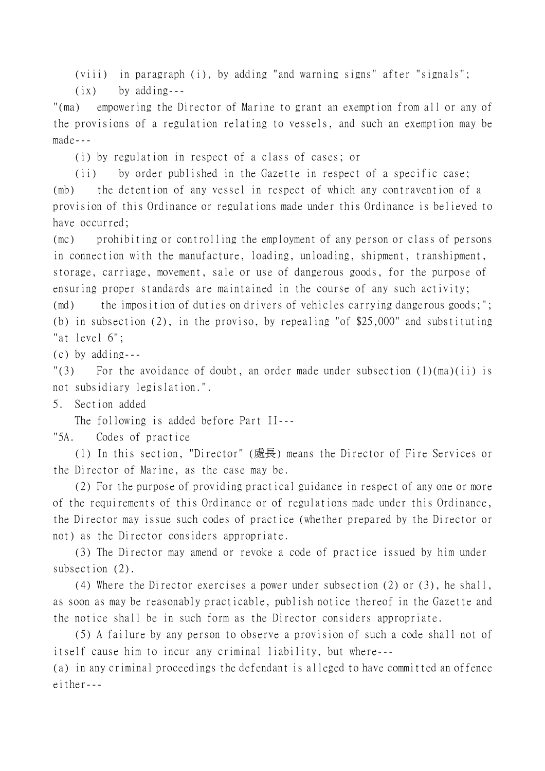(viii) in paragraph (i), by adding "and warning signs" after "signals";

(ix) by adding---

"(ma) empowering the Director of Marine to grant an exemption from all or any of the provisions of a regulation relating to vessels, and such an exemption may be made---

(i) by regulation in respect of a class of cases; or

(ii) by order published in the Gazette in respect of a specific case; (mb) the detention of any vessel in respect of which any contravention of a provision of this Ordinance or regulations made under this Ordinance is believed to have occurred;

(mc) prohibiting or controlling the employment of any person or class of persons in connection with the manufacture, loading, unloading, shipment, transhipment, storage, carriage, movement, sale or use of dangerous goods, for the purpose of ensuring proper standards are maintained in the course of any such activity;

(md) the imposition of duties on drivers of vehicles carrying dangerous goods;"; (b) in subsection (2), in the proviso, by repealing "of \$25,000" and substituting "at level 6";

(c) by adding---

 $\lceil$  (3) For the avoidance of doubt, an order made under subsection (1)(ma)(ii) is not subsidiary legislation.".

5. Section added

The following is added before Part II---

"5A. Codes of practice

(1) In this section, "Director" (處長) means the Director of Fire Services or the Director of Marine, as the case may be.

(2) For the purpose of providing practical guidance in respect of any one or more of the requirements of this Ordinance or of regulations made under this Ordinance, the Director may issue such codes of practice (whether prepared by the Director or not) as the Director considers appropriate.

(3) The Director may amend or revoke a code of practice issued by him under subsection (2).

(4) Where the Director exercises a power under subsection (2) or (3), he shall, as soon as may be reasonably practicable, publish notice thereof in the Gazette and the notice shall be in such form as the Director considers appropriate.

(5) A failure by any person to observe a provision of such a code shall not of itself cause him to incur any criminal liability, but where---

(a) in any criminal proceedings the defendant is alleged to have committed an offence either---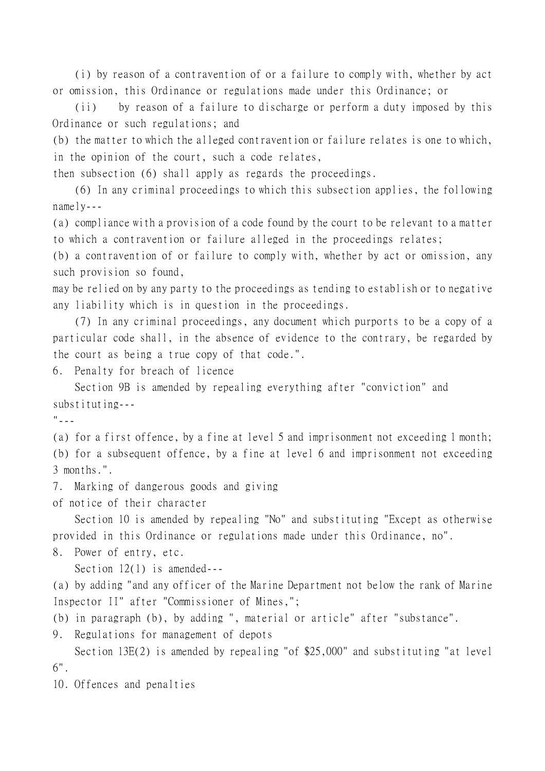(i) by reason of a contravention of or a failure to comply with, whether by act or omission, this Ordinance or regulations made under this Ordinance; or

(ii) by reason of a failure to discharge or perform a duty imposed by this Ordinance or such regulations; and

(b) the matter to which the alleged contravention or failure relates is one to which, in the opinion of the court, such a code relates,

then subsection (6) shall apply as regards the proceedings.

(6) In any criminal proceedings to which this subsection applies, the following namely---

(a) compliance with a provision of a code found by the court to be relevant to a matter to which a contravention or failure alleged in the proceedings relates;

(b) a contravention of or failure to comply with, whether by act or omission, any such provision so found,

may be relied on by any party to the proceedings as tending to establish or to negative any liability which is in question in the proceedings.

(7) In any criminal proceedings, any document which purports to be a copy of a particular code shall, in the absence of evidence to the contrary, be regarded by the court as being a true copy of that code.".

6. Penalty for breach of licence

Section 9B is amended by repealing everything after "conviction" and substituting---

 $"$ ---

(a) for a first offence, by a fine at level 5 and imprisonment not exceeding 1 month; (b) for a subsequent offence, by a fine at level 6 and imprisonment not exceeding 3 months.".

7. Marking of dangerous goods and giving

of notice of their character

Section 10 is amended by repealing "No" and substituting "Except as otherwise provided in this Ordinance or regulations made under this Ordinance, no".

8. Power of entry, etc.

Section 12(1) is amended---

(a) by adding "and any officer of the Marine Department not below the rank of Marine Inspector II" after "Commissioner of Mines,";

(b) in paragraph (b), by adding ", material or article" after "substance".

9. Regulations for management of depots

Section 13E(2) is amended by repealing "of \$25,000" and substituting "at level 6".

10. Offences and penalties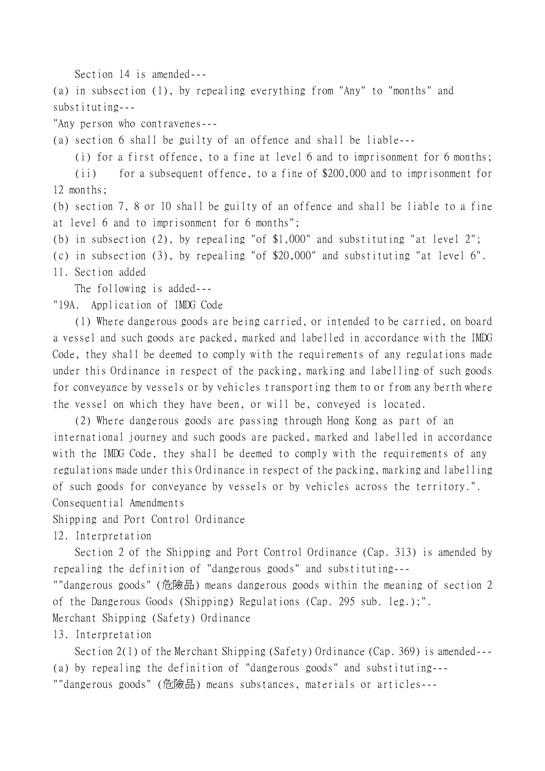Section 14 is amended---

(a) in subsection (1), by repealing everything from "Any" to "months" and substituting---

"Any person who contravenes---

(a) section 6 shall be guilty of an offence and shall be liable---

(i) for a first offence, to a fine at level 6 and to imprisonment for 6 months;

(ii) for a subsequent offence, to a fine of \$200,000 and to imprisonment for 12 months;

(b) section 7, 8 or 10 shall be guilty of an offence and shall be liable to a fine at level 6 and to imprisonment for 6 months";

(b) in subsection (2), by repealing "of \$1,000" and substituting "at level 2";

(c) in subsection (3), by repealing "of \$20,000" and substituting "at level 6".

11. Section added

The following is added---

"19A. Application of IMDG Code

(1) Where dangerous goods are being carried, or intended to be carried, on board a vessel and such goods are packed, marked and labelled in accordance with the IMDG Code, they shall be deemed to comply with the requirements of any regulations made under this Ordinance in respect of the packing, marking and labelling of such goods for conveyance by vessels or by vehicles transporting them to or from any berth where the vessel on which they have been, or will be, conveyed is located.

(2) Where dangerous goods are passing through Hong Kong as part of an international journey and such goods are packed, marked and labelled in accordance with the IMDG Code, they shall be deemed to comply with the requirements of any regulations made under this Ordinance in respect of the packing, marking and labelling of such goods for conveyance by vessels or by vehicles across the territory.".

Consequential Amendments

Shipping and Port Control Ordinance

12. Interpretation

Section 2 of the Shipping and Port Control Ordinance (Cap. 313) is amended by repealing the definition of "dangerous goods" and substituting---

""dangerous goods" (危險品) means dangerous goods within the meaning of section 2 of the Dangerous Goods (Shipping) Regulations (Cap. 295 sub. leg.);". Merchant Shipping (Safety) Ordinance

13. Interpretation

Section 2(1) of the Merchant Shipping (Safety) Ordinance (Cap. 369) is amended--- (a) by repealing the definition of "dangerous goods" and substituting--- ""dangerous goods" (危險品) means substances, materials or articles---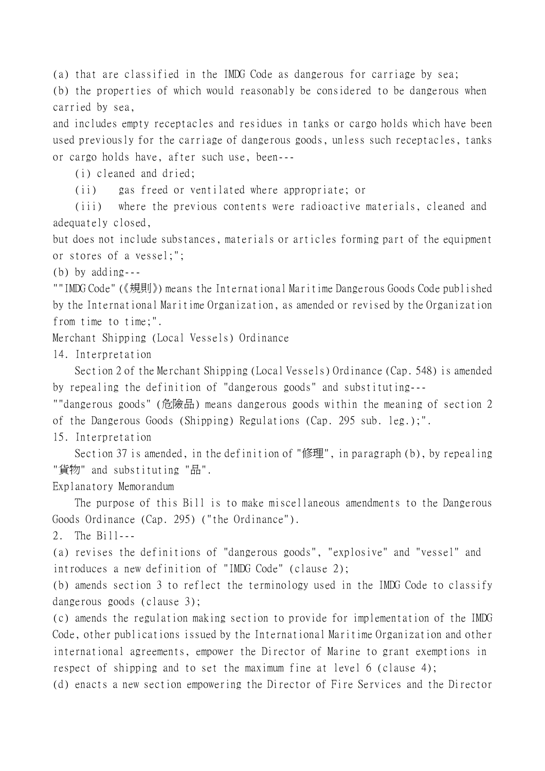(a) that are classified in the IMDG Code as dangerous for carriage by sea; (b) the properties of which would reasonably be considered to be dangerous when carried by sea,

and includes empty receptacles and residues in tanks or cargo holds which have been used previously for the carriage of dangerous goods, unless such receptacles, tanks or cargo holds have, after such use, been---

(i) cleaned and dried;

(ii) gas freed or ventilated where appropriate; or

(iii) where the previous contents were radioactive materials, cleaned and adequately closed,

but does not include substances, materials or articles forming part of the equipment or stores of a vessel;";

(b) by adding---

""IMDG Code" (《規則》) means the International Maritime Dangerous Goods Code published by the International Maritime Organization, as amended or revised by the Organization from time to time;".

Merchant Shipping (Local Vessels) Ordinance

14. Interpretation

Section 2 of the Merchant Shipping (Local Vessels) Ordinance (Cap. 548) is amended by repealing the definition of "dangerous goods" and substituting---

""dangerous goods" (危險品) means dangerous goods within the meaning of section 2 of the Dangerous Goods (Shipping) Regulations (Cap. 295 sub. leg.);".

15. Interpretation

Section 37 is amended, in the definition of "修理", in paragraph (b), by repealing "貨物" and substituting "品".

Explanatory Memorandum

The purpose of this Bill is to make miscellaneous amendments to the Dangerous Goods Ordinance (Cap. 295) ("the Ordinance").

2. The Bill---

(a) revises the definitions of "dangerous goods", "explosive" and "vessel" and introduces a new definition of "IMDG Code" (clause 2);

(b) amends section 3 to reflect the terminology used in the IMDG Code to classify dangerous goods (clause 3);

(c) amends the regulation making section to provide for implementation of the IMDG Code, other publications issued by the International Maritime Organization and other international agreements, empower the Director of Marine to grant exemptions in respect of shipping and to set the maximum fine at level 6 (clause 4);

(d) enacts a new section empowering the Director of Fire Services and the Director